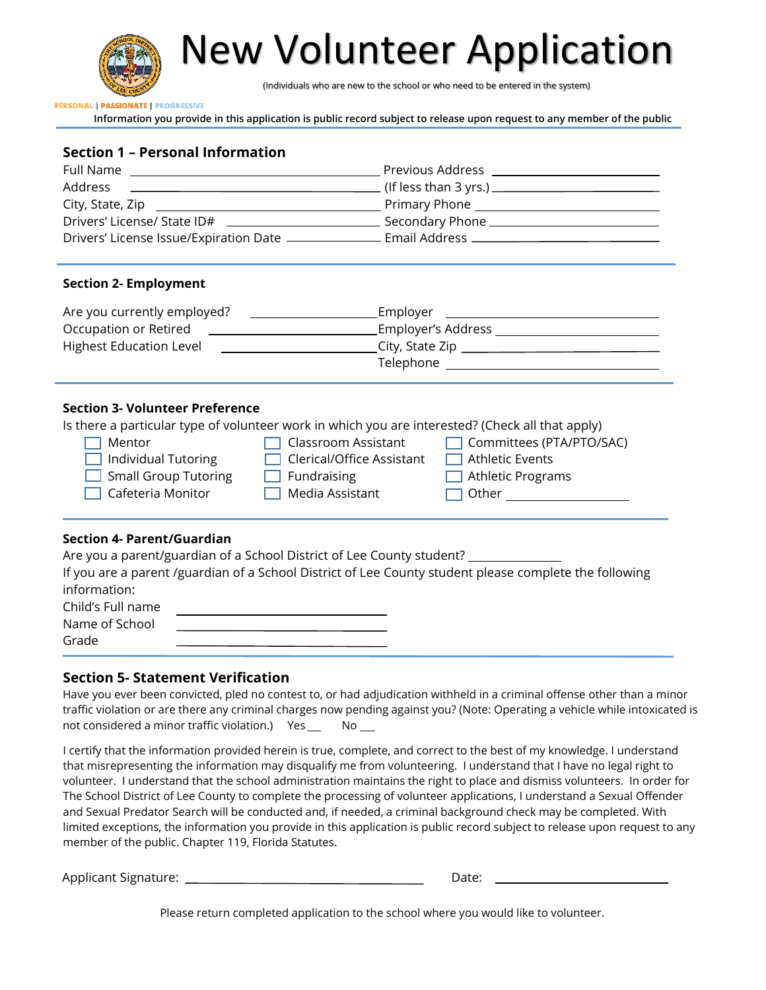

New Volunteer Application

(Individuals who are new to the school or who need to be entered in the system)

**PERSONAL | PASSIONATE | PROGRESSIVE** 

**Information you provide in this application is public record subject to release upon request to any member of the public**

## **Section 1 – Personal Information**

| Full Name                                                                     | Previous Address                      |
|-------------------------------------------------------------------------------|---------------------------------------|
| Address                                                                       |                                       |
| City, State, Zip                                                              | Primary Phone                         |
| Drivers' License/ State ID#<br><u> 1989 - Jan Barbara Barbara, manazarta </u> | Secondary Phone _____________         |
| Drivers' License Issue/Expiration Date -                                      | . Email Address _____________________ |

#### **Section 2- Employment**

| Are you currently employed? | Employer           |
|-----------------------------|--------------------|
| Occupation or Retired       | Employer's Address |
| Highest Education Level     | City, State Zip    |
|                             | Telephone          |

### **Section 3- Volunteer Preference**

Is there a particular type of volunteer work in which you are interested? (Check all that apply)

| $\Box$ Mentor               | $\Box$ Classroom Assistant       | Committees (PTA/PTO/SAC) |
|-----------------------------|----------------------------------|--------------------------|
| $\Box$ Individual Tutoring  | $\Box$ Clerical/Office Assistant | $\Box$ Athletic Events   |
| $\Box$ Small Group Tutoring | $\Box$ Fundraising               | $\Box$ Athletic Programs |
| $\Box$ Cafeteria Monitor    | $\Box$ Media Assistant           | $\Box$ Other             |

### **Section 4- Parent/Guardian**

Are you a parent/guardian of a School District of Lee County student? \_\_\_\_\_\_\_\_\_\_ If you are a parent /guardian of a School District of Lee County student please complete the following information: Child's Full name Name of School Grade

## **Section 5- Statement Verification**

Have you ever been convicted, pled no contest to, or had adjudication withheld in a criminal offense other than a minor traffic violation or are there any criminal charges now pending against you? (Note: Operating a vehicle while intoxicated is not considered a minor traffic violation.) Yes \_\_ No \_\_

I certify that the information provided herein is true, complete, and correct to the best of my knowledge. I understand that misrepresenting the information may disqualify me from volunteering. I understand that I have no legal right to volunteer. I understand that the school administration maintains the right to place and dismiss volunteers. In order for The School District of Lee County to complete the processing of volunteer applications, I understand a Sexual Offender and Sexual Predator Search will be conducted and, if needed, a criminal background check may be completed. With limited exceptions, the information you provide in this application is public record subject to release upon request to any member of the public. Chapter 119, Florida Statutes.

Applicant Signature: Date:

Please return completed application to the school where you would like to volunteer.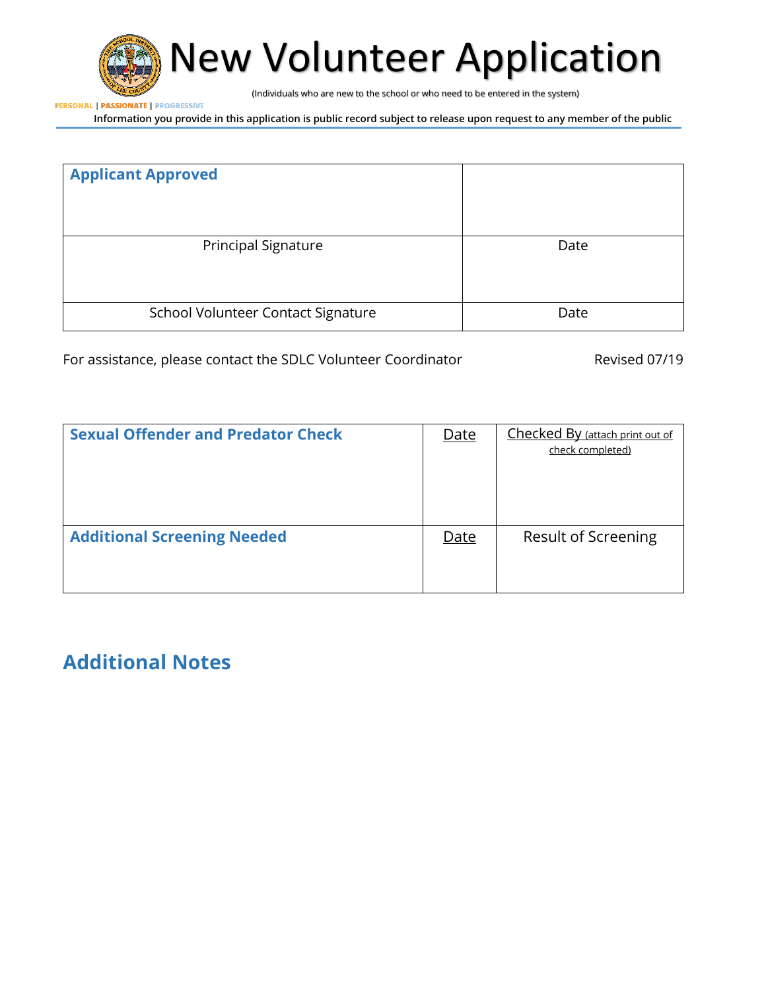

New Volunteer Application

(Individuals who are new to the school or who need to be entered in the system)

**PERSONAL | PASSIONATE | PROGRESSIVE** 

**Information you provide in this application is public record subject to release upon request to any member of the public**

| <b>Applicant Approved</b>          |      |
|------------------------------------|------|
| <b>Principal Signature</b>         | Date |
| School Volunteer Contact Signature | Date |

For assistance, please contact the SDLC Volunteer Coordinator **Revised 07/19** 

| <b>Sexual Offender and Predator Check</b> | <u>Date</u> | Checked By (attach print out of<br>check completed) |
|-------------------------------------------|-------------|-----------------------------------------------------|
| <b>Additional Screening Needed</b>        | Date        | Result of Screening                                 |

# **Additional Notes**